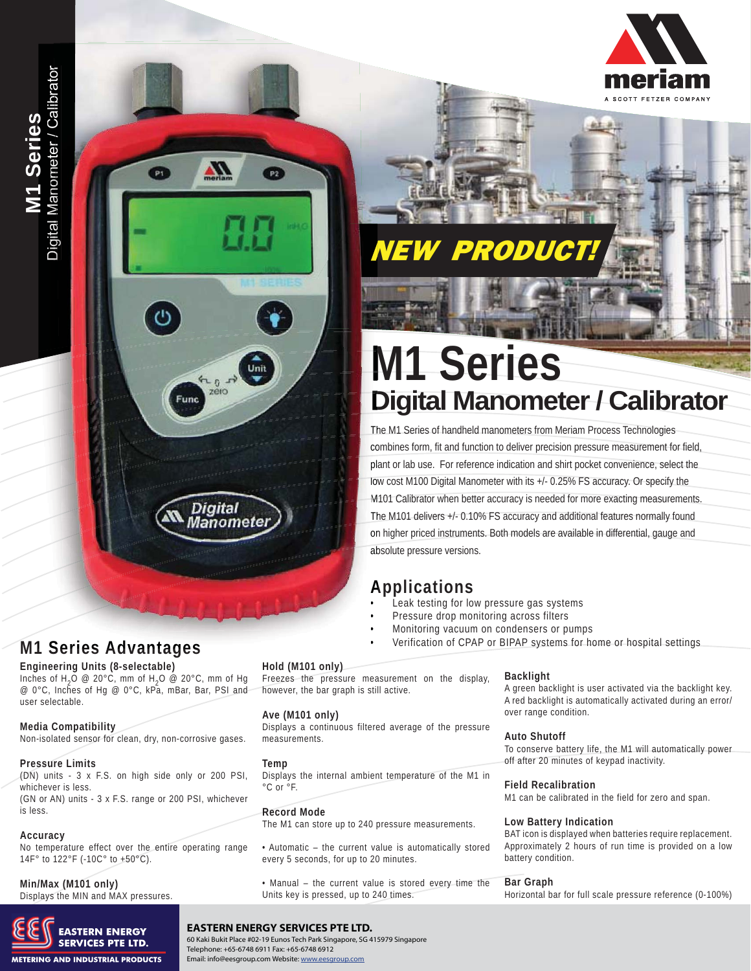# **NEW PRODUCT.**

# **M1 Series Digital Manometer / Calibrator**

The M1 Series of handheld manometers from Meriam Process Technologies combines form, fit and function to deliver precision pressure measurement for field, co plant or lab use. For reference indication and shirt pocket convenience, select the pl low cost M100 Digital Manometer with its +/- 0.25% FS accuracy. Or specify the M101 Calibrator when better accuracy is needed for more exacting measurements. M The M101 delivers +/- 0.10% FS accuracy and additional features normally found Th on higher priced instruments. Both models are available in differential, gauge and absolute pressure versions. ab

### **Applications A**

- Leak testing for low pressure gas systems •
- Pressure drop monitoring across filters •
- Monitoring vacuum on condensers or pumps •
	- Verification of CPAP or BIPAP systems for home or hospital settings

#### **Hold (M101 only)**

Freezes the pressure measurement on the display, however, the bar graph is still active.

#### **Ave (M101 only)**

Displays a continuous filtered average of the pressure measurements.

#### **Temp**

Displays the internal ambient temperature of the M1 in °C or °F.

#### **Record Mode**

The M1 can store up to 240 pressure measurements.

• Automatic – the current value is automatically stored every 5 seconds, for up to 20 minutes.

• Manual – the current value is stored every time the Units key is pressed, up to 240 times.

#### **Backlight**

A green backlight is user activated via the backlight key. A red backlight is automatically activated during an error/ over range condition.

#### **Auto Shutoff**

To conserve battery life, the M1 will automatically power off after 20 minutes of keypad inactivity.

#### **Field Recalibration**

M1 can be calibrated in the field for zero and span.

#### **Low Battery Indication**

BAT icon is displayed when batteries require replacement. Approximately 2 hours of run time is provided on a low battery condition.

#### **Bar Graph**

Horizontal bar for full scale pressure reference (0-100%)

Digital Manometer / Calibrator Digital Manometer / Calibrator Digital Manometer / Calibrato **M1 Series se eri** onmeter <u>(၇</u> **1 11 Series** 

 $P1$ 

 $P<sub>2</sub>$ 

Unit

 $n_0$   $\vec{r}$ 

**Digital** Manometer

Fund

• **M1 Series Advantages Engineering Units (8-selectable)**

Inches of H<sub>2</sub>O @ 20°C, mm of H<sub>2</sub>O @ 20°C, mm of Hg @ 0°C, Inches of Hg @ 0°C, kPa, mBar, Bar, PSI and user selectable.

#### **Media Compatibility**

Non-isolated sensor for clean, dry, non-corrosive gases.

#### **Pressure Limits**

(DN) units - 3 x F.S. on high side only or 200 PSI, whichever is less.

(GN or AN) units - 3 x F.S. range or 200 PSI, whichever is less.

#### **Accuracy**

No temperature effect over the entire operating range 14F° to 122°F (-10C° to +50°C).

### **Min/Max (M101 only)**

Displays the MIN and MAX pressures.



#### **Meriam Process Technologies** 10920 Madison Ave. ▪ Cleveland, OH 44102 **EASTERN ENERGY SERVICES PTE LTD.** TEL: 216.281.1100 • FAX: 216.281.0228 • EMAIL: sales@meriam.com • www.meriam.com Email: info@eesgroup.com Website: www.eesgroup.com60 Kaki Bukit Place #02-19 Eunos Tech Park Singapore, SG 415979 Singapore Telephone: +65-6748 6911 Fax: +65-6748 6912